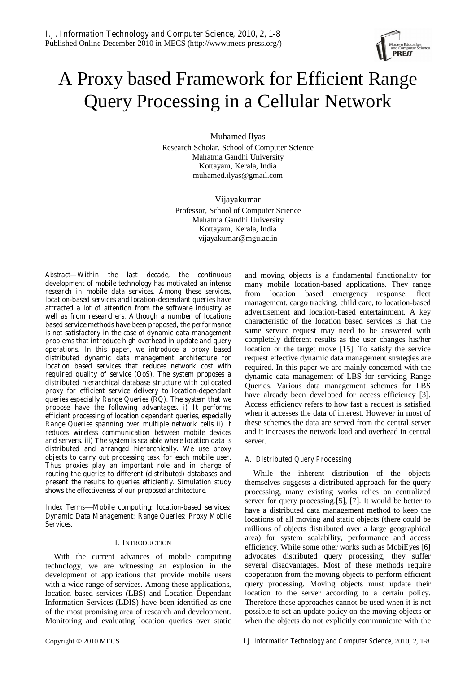# A Proxy based Framework for Efficient Range Query Processing in a Cellular Network

Muhamed Ilyas Research Scholar, School of Computer Science Mahatma Gandhi University Kottayam, Kerala, India muhamed.ilyas@gmail.com

Vijayakumar Professor, School of Computer Science Mahatma Gandhi University Kottayam, Kerala, India vijayakumar@mgu.ac.in

*Abstract***—Within the last decade, the continuous development of mobile technology has motivated an intense research in mobile data services. Among these services, location-based services and location-dependant queries have attracted a lot of attention from the software industry as well as from researchers. Although a number of locations based service methods have been proposed, the performance is not satisfactory in the case of dynamic data management problems that introduce high overhead in update and query operations. In this paper, we introduce a proxy based distributed dynamic data management architecture for location based services that reduces network cost with required quality of service (QoS). The system proposes a distributed hierarchical database structure with collocated proxy for efficient service delivery to location-dependant queries especially Range Queries (RQ). The system that we propose have the following advantages. i) It performs efficient processing of location dependant queries, especially Range Queries spanning over multiple network cells ii) It reduces wireless communication between mobile devices and servers. iii) The system is scalable where location data is distributed and arranged hierarchically. We use proxy objects to carry out processing task for each mobile user. Thus proxies play an important role and in charge of routing the queries to different (distributed) databases and present the results to queries efficiently. Simulation study shows the effectiveness of our proposed architecture.** 

*Index Terms*—**Mobile computing; location-based services; Dynamic Data Management; Range Queries; Proxy Mobile Services.** 

# I. INTRODUCTION

With the current advances of mobile computing technology, we are witnessing an explosion in the development of applications that provide mobile users with a wide range of services. Among these applications, location based services (LBS) and Location Dependant Information Services (LDIS) have been identified as one of the most promising area of research and development. Monitoring and evaluating location queries over static and moving objects is a fundamental functionality for many mobile location-based applications. They range from location based emergency response, fleet management, cargo tracking, child care, to location-based advertisement and location-based entertainment. A key characteristic of the location based services is that the same service request may need to be answered with completely different results as the user changes his/her location or the target move [15]. To satisfy the service request effective dynamic data management strategies are required. In this paper we are mainly concerned with the dynamic data management of LBS for servicing Range Queries. Various data management schemes for LBS have already been developed for access efficiency [3]. Access efficiency refers to how fast a request is satisfied when it accesses the data of interest. However in most of these schemes the data are served from the central server and it increases the network load and overhead in central server.

# *A. Distributed Query Processing*

While the inherent distribution of the objects themselves suggests a distributed approach for the query processing, many existing works relies on centralized server for query processing.[5], [7]. It would be better to have a distributed data management method to keep the locations of all moving and static objects (there could be millions of objects distributed over a large geographical area) for system scalability, performance and access efficiency. While some other works such as MobiEyes [6] advocates distributed query processing, they suffer several disadvantages. Most of these methods require cooperation from the moving objects to perform efficient query processing. Moving objects must update their location to the server according to a certain policy. Therefore these approaches cannot be used when it is not possible to set an update policy on the moving objects or when the objects do not explicitly communicate with the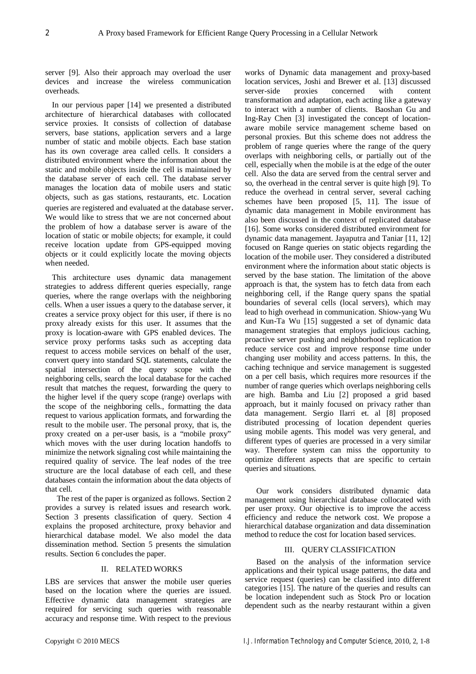server [9]. Also their approach may overload the user devices and increase the wireless communication overheads.

In our pervious paper [14] we presented a distributed architecture of hierarchical databases with collocated service proxies. It consists of collection of database servers, base stations, application servers and a large number of static and mobile objects. Each base station has its own coverage area called cells. It considers a distributed environment where the information about the static and mobile objects inside the cell is maintained by the database server of each cell. The database server manages the location data of mobile users and static objects, such as gas stations, restaurants, etc. Location queries are registered and evaluated at the database server. We would like to stress that we are not concerned about the problem of how a database server is aware of the location of static or mobile objects; for example, it could receive location update from GPS-equipped moving objects or it could explicitly locate the moving objects when needed.

This architecture uses dynamic data management strategies to address different queries especially, range queries, where the range overlaps with the neighboring cells. When a user issues a query to the database server, it creates a service proxy object for this user, if there is no proxy already exists for this user. It assumes that the proxy is location-aware with GPS enabled devices. The service proxy performs tasks such as accepting data request to access mobile services on behalf of the user, convert query into standard SQL statements, calculate the spatial intersection of the query scope with the neighboring cells, search the local database for the cached result that matches the request, forwarding the query to the higher level if the query scope (range) overlaps with the scope of the neighboring cells., formatting the data request to various application formats, and forwarding the result to the mobile user. The personal proxy, that is, the proxy created on a per-user basis, is a "mobile proxy" which moves with the user during location handoffs to minimize the network signaling cost while maintaining the required quality of service. The leaf nodes of the tree structure are the local database of each cell, and these databases contain the information about the data objects of that cell.

The rest of the paper is organized as follows. Section 2 provides a survey is related issues and research work. Section 3 presents classification of query. Section 4 explains the proposed architecture, proxy behavior and hierarchical database model. We also model the data dissemination method. Section 5 presents the simulation results. Section 6 concludes the paper.

# II. RELATED WORKS

LBS are services that answer the mobile user queries based on the location where the queries are issued. Effective dynamic data management strategies are required for servicing such queries with reasonable accuracy and response time. With respect to the previous

works of Dynamic data management and proxy-based location services, Joshi and Brewer et al. [13] discussed server-side proxies concerned with content transformation and adaptation, each acting like a gateway to interact with a number of clients. Baoshan Gu and Ing-Ray Chen [3] investigated the concept of locationaware mobile service management scheme based on personal proxies. But this scheme does not address the problem of range queries where the range of the query overlaps with neighboring cells, or partially out of the cell, especially when the mobile is at the edge of the outer cell. Also the data are served from the central server and so, the overhead in the central server is quite high [9]. To reduce the overhead in central server, several caching schemes have been proposed [5, 11]. The issue of dynamic data management in Mobile environment has also been discussed in the context of replicated database [16]. Some works considered distributed environment for dynamic data management. Jayaputra and Taniar [11, 12] focused on Range queries on static objects regarding the location of the mobile user. They considered a distributed environment where the information about static objects is served by the base station. The limitation of the above approach is that, the system has to fetch data from each neighboring cell, if the Range query spans the spatial boundaries of several cells (local servers), which may lead to high overhead in communication. Shiow-yang Wu and Kun-Ta Wu [15] suggested a set of dynamic data management strategies that employs judicious caching, proactive server pushing and neighborhood replication to reduce service cost and improve response time under changing user mobility and access patterns. In this, the caching technique and service management is suggested on a per cell basis, which requires more resources if the number of range queries which overlaps neighboring cells are high. Bamba and Liu [2] proposed a grid based approach, but it mainly focused on privacy rather than data management. Sergio Ilarri et. al [8] proposed distributed processing of location dependent queries using mobile agents. This model was very general, and different types of queries are processed in a very similar way. Therefore system can miss the opportunity to optimize different aspects that are specific to certain queries and situations.

Our work considers distributed dynamic data management using hierarchical database collocated with per user proxy. Our objective is to improve the access efficiency and reduce the network cost. We propose a hierarchical database organization and data dissemination method to reduce the cost for location based services.

# III. QUERY CLASSIFICATION

Based on the analysis of the information service applications and their typical usage patterns, the data and service request (queries) can be classified into different categories [15]. The nature of the queries and results can be location independent such as Stock Pro or location dependent such as the nearby restaurant within a given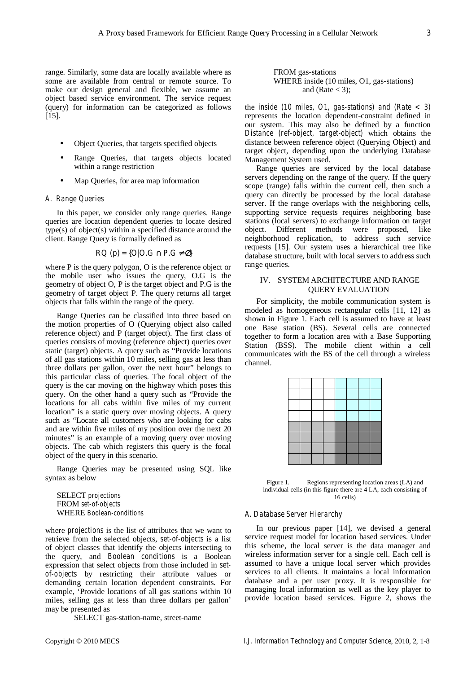range. Similarly, some data are locally available where as some are available from central or remote source. To make our design general and flexible, we assume an object based service environment. The service request (query) for information can be categorized as follows [15].

- Object Queries, that targets specified objects
- Range Queries, that targets objects located within a range restriction
- Map Queries, for area map information

#### *A. Range Queries*

In this paper, we consider only range queries. Range queries are location dependent queries to locate desired type(s) of object(s) within a specified distance around the client. Range Query is formally defined as

$$
RQ (p) = \{O|O.G \quad P.G \qquad \}
$$

where P is the query polygon, O is the reference object or the mobile user who issues the query, O.G is the geometry of object O, P is the target object and P.G is the geometry of target object P. The query returns all target objects that falls within the range of the query.

Range Queries can be classified into three based on the motion properties of O (Querying object also called reference object) and P (target object). The first class of queries consists of moving (reference object) queries over static (target) objects. A query such as "Provide locations of all gas stations within 10 miles, selling gas at less than three dollars per gallon, over the next hour" belongs to this particular class of queries. The focal object of the query is the car moving on the highway which poses this query. On the other hand a query such as "Provide the locations for all cabs within five miles of my current location" is a static query over moving objects. A query such as "Locate all customers who are looking for cabs and are within five miles of my position over the next 20 minutes" is an example of a moving query over moving objects. The cab which registers this query is the focal object of the query in this scenario.

Range Queries may be presented using SQL like syntax as below

SELECT *projections* FROM *set-of-objects* WHERE *Boolean-conditions* 

where *projections* is the list of attributes that we want to retrieve from the selected objects, *set-of-objects* is a list of object classes that identify the objects intersecting to the query, and *Boolean conditions* is a Boolean expression that select objects from those included in *setof-objects* by restricting their attribute values or demanding certain location dependent constraints. For example, 'Provide locations of all gas stations within 10 miles, selling gas at less than three dollars per gallon' may be presented as

SELECT gas-station-name, street-name

the *inside (10 miles, O1, gas-stations) and (Rate < 3)* represents the location dependent-constraint defined in our system. This may also be defined by a function *Distance (ref-object, target-object)* which obtains the distance between reference object (Querying Object) and target object, depending upon the underlying Database Management System used.

Range queries are serviced by the local database servers depending on the range of the query. If the query scope (range) falls within the current cell, then such a query can directly be processed by the local database server. If the range overlaps with the neighboring cells, supporting service requests requires neighboring base stations (local servers) to exchange information on target object. Different methods were proposed, like neighborhood replication, to address such service requests [15]. Our system uses a hierarchical tree like database structure, built with local servers to address such range queries.

# IV. SYSTEM ARCHITECTURE AND RANGE QUERY EVALUATION

For simplicity, the mobile communication system is modeled as homogeneous rectangular cells [11, 12] as shown in Figure 1. Each cell is assumed to have at least one Base station (BS). Several cells are connected together to form a location area with a Base Supporting Station (BSS). The mobile client within a cell communicates with the BS of the cell through a wireless channel.



#### *A. Database Server Hierarchy*

In our previous paper [14], we devised a general service request model for location based services. Under this scheme, the local server is the data manager and wireless information server for a single cell. Each cell is assumed to have a unique local server which provides services to all clients. It maintains a local information database and a per user proxy. It is responsible for managing local information as well as the key player to provide location based services. Figure 2, shows the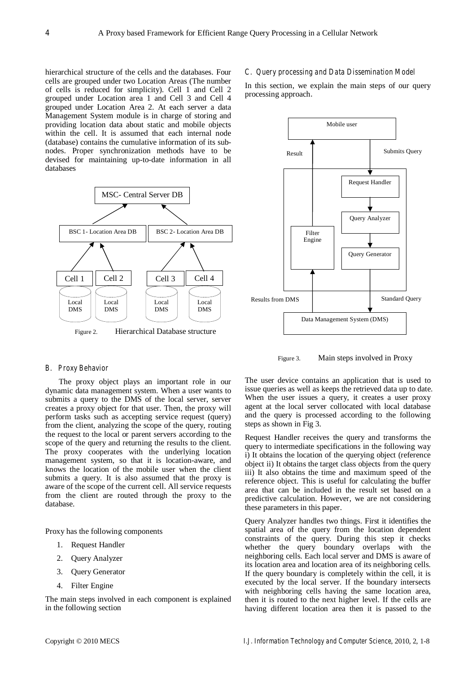hierarchical structure of the cells and the databases. Four cells are grouped under two Location Areas (The number of cells is reduced for simplicity). Cell 1 and Cell 2 grouped under Location area 1 and Cell 3 and Cell 4 grouped under Location Area 2. At each server a data Management System module is in charge of storing and providing location data about static and mobile objects within the cell. It is assumed that each internal node (database) contains the cumulative information of its subnodes. Proper synchronization methods have to be devised for maintaining up-to-date information in all databases



Figure 2. Hierarchical Database structure

### *B. Proxy Behavior*

 The proxy object plays an important role in our dynamic data management system. When a user wants to submits a query to the DMS of the local server, server creates a proxy object for that user. Then, the proxy will perform tasks such as accepting service request (query) from the client, analyzing the scope of the query, routing the request to the local or parent servers according to the scope of the query and returning the results to the client. The proxy cooperates with the underlying location management system, so that it is location-aware, and knows the location of the mobile user when the client submits a query. It is also assumed that the proxy is aware of the scope of the current cell. All service requests from the client are routed through the proxy to the database.

Proxy has the following components

- 1. Request Handler
- 2. Query Analyzer
- 3. Query Generator
- 4. Filter Engine

The main steps involved in each component is explained in the following section

# *C. Query processing and Data Dissemination Model*

In this section, we explain the main steps of our query processing approach**.** 



Figure 3. Main steps involved in Proxy

The user device contains an application that is used to issue queries as well as keeps the retrieved data up to date. When the user issues a query, it creates a user proxy agent at the local server collocated with local database and the query is processed according to the following steps as shown in Fig 3.

Request Handler receives the query and transforms the query to intermediate specifications in the following way i) It obtains the location of the querying object (reference object ii) It obtains the target class objects from the query iii) It also obtains the time and maximum speed of the reference object. This is useful for calculating the buffer area that can be included in the result set based on a predictive calculation. However, we are not considering these parameters in this paper.

Query Analyzer handles two things. First it identifies the spatial area of the query from the location dependent constraints of the query. During this step it checks whether the query boundary overlaps with the neighboring cells. Each local server and DMS is aware of its location area and location area of its neighboring cells. If the query boundary is completely within the cell, it is executed by the local server. If the boundary intersects with neighboring cells having the same location area, then it is routed to the next higher level. If the cells are having different location area then it is passed to the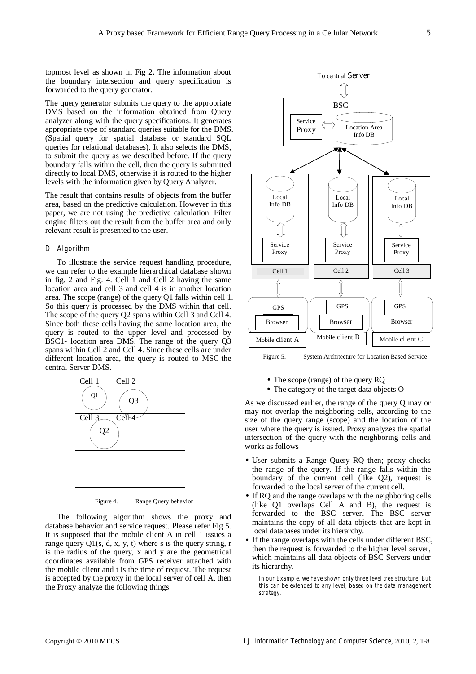topmost level as shown in Fig 2**.** The information about the boundary intersection and query specification is forwarded to the query generator.

The query generator submits the query to the appropriate DMS based on the information obtained from Query analyzer along with the query specifications. It generates appropriate type of standard queries suitable for the DMS. (Spatial query for spatial database or standard SQL queries for relational databases). It also selects the DMS, to submit the query as we described before. If the query boundary falls within the cell, then the query is submitted directly to local DMS, otherwise it is routed to the higher levels with the information given by Query Analyzer.

The result that contains results of objects from the buffer area, based on the predictive calculation. However in this paper, we are not using the predictive calculation. Filter engine filters out the result from the buffer area and only relevant result is presented to the user.

# *D. Algorithm*

To illustrate the service request handling procedure, we can refer to the example hierarchical database shown in fig. 2 and Fig. 4. Cell 1 and Cell 2 having the same location area and cell 3 and cell 4 is in another location area. The scope (range) of the query Q1 falls within cell 1. So this query is processed by the DMS within that cell. The scope of the query Q2 spans within Cell 3 and Cell 4. Since both these cells having the same location area, the query is routed to the upper level and processed by BSC1- location area DMS. The range of the query Q3 spans within Cell 2 and Cell 4. Since these cells are under different location area, the query is routed to MSC-the central Server DMS.



Figure 4. Range Query behavior

The following algorithm shows the proxy and database behavior and service request. Please refer Fig 5. It is supposed that the mobile client A in cell 1 issues a range query  $Q1(s, d, x, y, t)$  where s is the query string, r is the radius of the query, x and y are the geometrical coordinates available from GPS receiver attached with the mobile client and t is the time of request. The request is accepted by the proxy in the local server of cell A, then the Proxy analyze the following things



Figure 5. System Architecture for Location Based Service

- The scope (range) of the query RO
- The category of the target data objects O

As we discussed earlier, the range of the query Q may or may not overlap the neighboring cells, according to the size of the query range (scope) and the location of the user where the query is issued. Proxy analyzes the spatial intersection of the query with the neighboring cells and works as follows

- User submits a Range Query RQ then; proxy checks the range of the query. If the range falls within the boundary of the current cell (like Q2), request is forwarded to the local server of the current cell.
- If RQ and the range overlaps with the neighboring cells (like Q1 overlaps Cell A and B), the request is forwarded to the BSC server. The BSC server maintains the copy of all data objects that are kept in local databases under its hierarchy.
- If the range overlaps with the cells under different BSC, then the request is forwarded to the higher level server, which maintains all data objects of BSC Servers under its hierarchy.

*In our Example, we have shown only three level tree structure. But this can be extended to any level, based on the data management strategy.*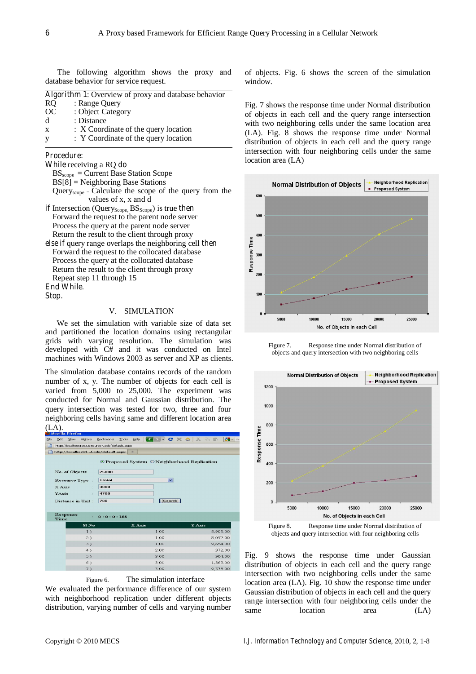The following algorithm shows the proxy and database behavior for service request.

| <b>Algorithm 1:</b> Overview of proxy and database behavior |                                      |  |  |  |  |  |  |  |
|-------------------------------------------------------------|--------------------------------------|--|--|--|--|--|--|--|
| R <sub>O</sub>                                              | : Range Query                        |  |  |  |  |  |  |  |
| OC                                                          | : Object Category                    |  |  |  |  |  |  |  |
| d                                                           | : Distance                           |  |  |  |  |  |  |  |
| $\boldsymbol{\mathrm{x}}$                                   | : X Coordinate of the query location |  |  |  |  |  |  |  |
| <sup>V</sup>                                                | : Y Coordinate of the query location |  |  |  |  |  |  |  |

# **Procedure:**

**While** receiving a RQ **do** 

BSscope = Current Base Station Scope  $BS[8] = Neighbouring Base Statistics$ Query<sub>scope</sub>  $=$  Calculate the scope of the query from the values of x, x and d **if** Intersection (Query<sub>Scope</sub>,  $BS_{\text{Score}}$ ) is true **then** Forward the request to the parent node server

- Process the query at the parent node server Return the result to the client through proxy **else if** query range overlaps the neighboring cell **then**
- Forward the request to the collocated database Process the query at the collocated database Return the result to the client through proxy Repeat step 11 through 15 **End While.**

**Stop.** 

# V. SIMULATION

We set the simulation with variable size of data set and partitioned the location domains using rectangular grids with varying resolution. The simulation was developed with C# and it was conducted on Intel machines with Windows 2003 as server and XP as clients.

The simulation database contains records of the random number of x, y. The number of objects for each cell is varied from 5,000 to 25,000. The experiment was conducted for Normal and Gaussian distribution. The query intersection was tested for two, three and four neighboring cells having same and different location area  $(T \Delta)$ 

|                       | .ر د ب            | <b>Mozilla Firefox</b> |           |                                                |              |        |  |                   |  |  |  |        |  |          |        |
|-----------------------|-------------------|------------------------|-----------|------------------------------------------------|--------------|--------|--|-------------------|--|--|--|--------|--|----------|--------|
| Eile                  | Edit              | View                   | History   | <b>Bookmarks</b>                               | Tools        | Help   |  | G > - C X O X D E |  |  |  |        |  |          | $-$    |
|                       |                   |                        |           | http://localhost:1033/Source Code/default.aspx |              |        |  |                   |  |  |  |        |  |          |        |
|                       |                   |                        |           | http://localhost:1Code/default.aspx            |              | at a   |  |                   |  |  |  |        |  |          |        |
|                       |                   |                        |           | ⊙Proposed System ONeighborhood Replication     |              |        |  |                   |  |  |  |        |  |          |        |
|                       |                   | No. of Objects         |           | 25000                                          |              |        |  |                   |  |  |  |        |  |          |        |
|                       | Resource Type:    |                        |           | Hotel                                          | $\checkmark$ |        |  |                   |  |  |  |        |  |          |        |
| X Axis<br>÷.<br>YAxis |                   |                        | 3000      |                                                |              |        |  |                   |  |  |  |        |  |          |        |
|                       |                   |                        | 4700      |                                                |              |        |  |                   |  |  |  |        |  |          |        |
|                       | Distance in Unit: |                        |           | Search<br>700                                  |              |        |  |                   |  |  |  |        |  |          |        |
|                       |                   |                        |           |                                                |              |        |  |                   |  |  |  |        |  |          |        |
|                       | Time              | Response               | ż.        | 0:0:0:188                                      |              |        |  |                   |  |  |  |        |  |          |        |
|                       |                   |                        | $SI$ $No$ |                                                |              | X Axis |  |                   |  |  |  | Y Axis |  |          |        |
|                       |                   |                        | 1)        |                                                |              |        |  | 1.00              |  |  |  |        |  | 5,905.00 |        |
|                       |                   |                        | 2)        |                                                |              |        |  | 1.00              |  |  |  |        |  | 8,057.00 |        |
|                       |                   |                        | 3)        |                                                |              |        |  | 1.00              |  |  |  |        |  | 9,654.00 |        |
|                       |                   |                        | 4)        |                                                |              |        |  | 2.00              |  |  |  |        |  |          | 372.00 |
|                       |                   |                        | 5)        |                                                |              |        |  | 3.00              |  |  |  |        |  |          | 904.00 |
|                       |                   |                        | 6)        |                                                |              |        |  | 3.00              |  |  |  |        |  | 1,363.00 |        |
|                       |                   |                        | 7)        |                                                |              |        |  | 3.00              |  |  |  |        |  | 9,378.00 |        |



We evaluated the performance difference of our system with neighborhood replication under different objects distribution, varying number of cells and varying number of objects. Fig. 6 shows the screen of the simulation window.

Fig. 7 shows the response time under Normal distribution of objects in each cell and the query range intersection with two neighboring cells under the same location area (LA). Fig. 8 shows the response time under Normal distribution of objects in each cell and the query range intersection with four neighboring cells under the same location area (LA)



Figure 7. Response time under Normal distribution of objects and query intersection with two neighboring cells



objects and query intersection with four neighboring cells

Fig. 9 shows the response time under Gaussian distribution of objects in each cell and the query range intersection with two neighboring cells under the same location area (LA). Fig. 10 show the response time under Gaussian distribution of objects in each cell and the query range intersection with four neighboring cells under the same location area (LA)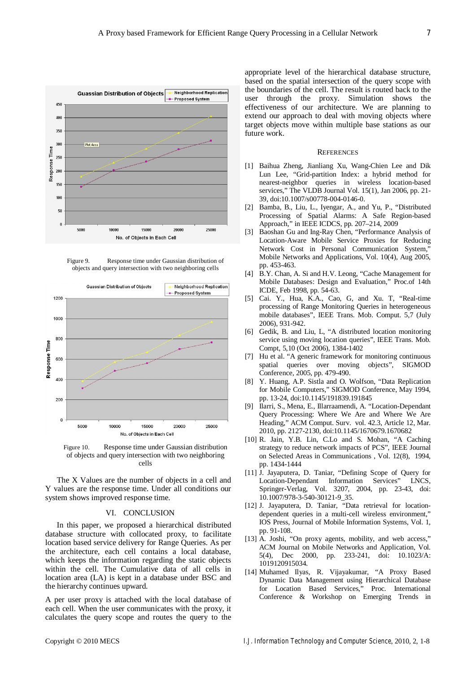

Figure 9. Response time under Gaussian distribution of objects and query intersection with two neighboring cells





The X Values are the number of objects in a cell and Y values are the response time. Under all conditions our system shows improved response time.

# VI. CONCLUSION

In this paper, we proposed a hierarchical distributed database structure with collocated proxy, to facilitate location based service delivery for Range Queries. As per the architecture, each cell contains a local database, which keeps the information regarding the static objects within the cell. The Cumulative data of all cells in location area (LA) is kept in a database under BSC and the hierarchy continues upward.

A per user proxy is attached with the local database of each cell. When the user communicates with the proxy, it calculates the query scope and routes the query to the

appropriate level of the hierarchical database structure, based on the spatial intersection of the query scope with the boundaries of the cell. The result is routed back to the user through the proxy. Simulation shows the effectiveness of our architecture. We are planning to extend our approach to deal with moving objects where target objects move within multiple base stations as our future work.

#### **REFERENCES**

- [1] Baihua Zheng, Jianliang Xu, Wang-Chien Lee and Dik Lun Lee, "Grid-partition Index: a hybrid method for nearest-neighbor queries in wireless location-based services," The VLDB Journal Vol. 15(1), Jan 2006, pp. 21- 39, doi:10.1007/s00778-004-0146-0.
- [2] Bamba, B., Liu, L., Iyengar, A., and Yu, P., "Distributed Processing of Spatial Alarms: A Safe Region-based Approach," in IEEE ICDCS, pp. 207–214, 2009
- [3] Baoshan Gu and Ing-Ray Chen, "Performance Analysis of Location-Aware Mobile Service Proxies for Reducing Network Cost in Personal Communication System," Mobile Networks and Applications, Vol. 10(4), Aug 2005, pp. 453-463.
- [4] B.Y. Chan, A. Si and H.V. Leong, "Cache Management for Mobile Databases: Design and Evaluation," Proc.of 14th ICDE, Feb 1998, pp. 54-63.
- [5] Cai. Y., Hua, K.A., Cao, G, and Xu. T, "Real-time processing of Range Monitoring Queries in heterogeneous mobile databases", IEEE Trans. Mob. Comput. 5,7 (July 2006), 931-942.
- [6] Gedik, B. and Liu, L, "A distributed location monitoring service using moving location queries", IEEE Trans. Mob. Compt, 5,10 (Oct 2006), 1384-1402
- [7] Hu et al. "A generic framework for monitoring continuous spatial queries over moving objects", SIGMOD Conference, 2005, pp. 479-490.
- [8] Y. Huang, A.P. Sistla and O. Wolfson, "Data Replication for Mobile Computers," SIGMOD Conference, May 1994, pp. 13-24, doi:10.1145/191839.191845
- [9] Ilarri, S., Mena, E., Illarraamendi, A. "Location-Dependant Query Processing: Where We Are and Where We Are Heading," ACM Comput. Surv. vol. 42.3, Article 12, Mar. 2010, pp. 2127-2130, doi:10.1145/1670679.1670682
- [10] R. Jain, Y.B. Lin, C.Lo and S. Mohan, "A Caching strategy to reduce network impacts of PCS", IEEE Journal on Selected Areas in Communications , Vol. 12(8), 1994, pp. 1434-1444
- [11] J. Jayaputera, D. Taniar, "Defining Scope of Query for Location-Dependant Information Services" LNCS, Springer-Verlag, Vol. 3207, 2004, pp. 23-43, doi: 10.1007/978-3-540-30121-9\_35.
- [12] J. Jayaputera, D. Taniar, "Data retrieval for locationdependent queries in a multi-cell wireless environment," IOS Press, Journal of Mobile Information Systems, Vol. 1, pp. 91-108.
- [13] A. Joshi, "On proxy agents, mobility, and web access," ACM Journal on Mobile Networks and Application, Vol. 5(4), Dec 2000, pp. 233-241, doi: 10.1023/A: 1019120915034.
- [14] Muhamed Ilyas, R. Vijayakumar, "A Proxy Based Dynamic Data Management using Hierarchical Database for Location Based Services," Proc. International Conference & Workshop on Emerging Trends in